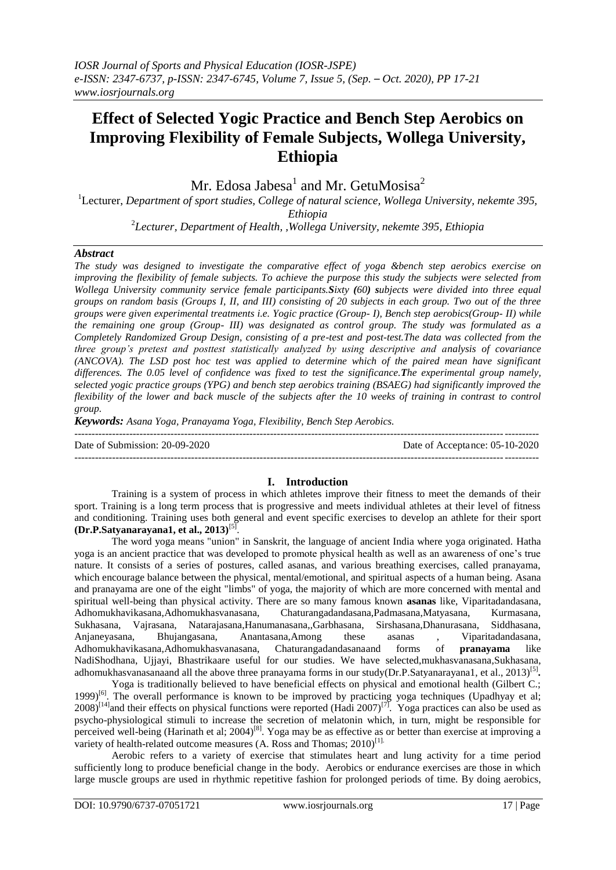# **Effect of Selected Yogic Practice and Bench Step Aerobics on Improving Flexibility of Female Subjects, Wollega University, Ethiopia**

Mr. Edosa Jabesa<sup>1</sup> and Mr. GetuMosisa<sup>2</sup>

<sup>1</sup>Lecturer, *Department of sport studies, College of natural science, Wollega University, nekemte 395, Ethiopia* 

2 *Lecturer, Department of Health, ,Wollega University, nekemte 395, Ethiopia*

## *Abstract*

*The study was designed to investigate the comparative effect of yoga &bench step aerobics exercise on improving the flexibility of female subjects. To achieve the purpose this study the subjects were selected from Wollega University community service female participants.Sixty (60) subjects were divided into three equal groups on random basis (Groups I, II, and III) consisting of 20 subjects in each group. Two out of the three groups were given experimental treatments i.e. Yogic practice (Group- I), Bench step aerobics(Group- II) while the remaining one group (Group- III) was designated as control group. The study was formulated as a Completely Randomized Group Design, consisting of a pre-test and post-test.The data was collected from the three group's pretest and posttest statistically analyzed by using descriptive and analysis of covariance (ANCOVA). The LSD post hoc test was applied to determine which of the paired mean have significant differences. The 0.05 level of confidence was fixed to test the significance.The experimental group namely, selected yogic practice groups (YPG) and bench step aerobics training (BSAEG) had significantly improved the flexibility of the lower and back muscle of the subjects after the 10 weeks of training in contrast to control group.*

*Keywords: Asana Yoga, Pranayama Yoga, Flexibility, Bench Step Aerobics.* ---------------------------------------------------------------------------------------------------------------------------------------

Date of Submission: 20-09-2020 Date of Acceptance: 05-10-2020

# **I. Introduction**

---------------------------------------------------------------------------------------------------------------------------------------

Training is a system of process in which athletes improve their fitness to meet the demands of their sport. Training is a long term process that is progressive and meets individual athletes at their level of fitness and conditioning. Training uses both general and event specific exercises to develop an athlete for their sport **(Dr.P.Satyanarayana1, et al., 2013)**[5] .

The word yoga means "union" in Sanskrit, the language of ancient India where yoga originated. Hatha yoga is an ancient practice that was developed to promote physical health as well as an awareness of one's true nature. It consists of a series of postures, called asanas, and various breathing exercises, called pranayama, which encourage balance between the physical, mental/emotional, and spiritual aspects of a human being. Asana and pranayama are one of the eight "limbs" of yoga, the majority of which are more concerned with mental and spiritual well-being than physical activity. There are so many famous known **asanas** like, Viparitadandasana, Adhomukhavikasana,Adhomukhasvanasana, Chaturangadandasana,Padmasana,Matyasana, Kurmasana, Sukhasana, Vajrasana, Natarajasana,Hanumanasana,,Garbhasana, Sirshasana,Dhanurasana, Siddhasana, Anjaneyasana, Bhujangasana, Anantasana,Among these asanas , Viparitadandasana, Adhomukhavikasana,Adhomukhasvanasana, Chaturangadandasanaand forms of **pranayama** like NadiShodhana, Ujjayi, Bhastrikaare useful for our studies. We have selected,mukhasvanasana,Sukhasana, adhomukhasvanasanaand all the above three pranayama forms in our study(Dr.P.Satyanarayana1, et al., 2013)<sup>[5]</sup>.

Yoga is traditionally believed to have beneficial effects on physical and emotional health (Gilbert C.; 1999)<sup>[6]</sup>. The overall performance is known to be improved by practicing yoga techniques (Upadhyay et al;  $2008$ <sup>[14]</sup> and their effects on physical functions were reported (Hadi 2007)<sup>[7]</sup>. Yoga practices can also be used as psycho-physiological stimuli to increase the secretion of melatonin which, in turn, might be responsible for perceived well-being (Harinath et al; 2004)<sup>[8]</sup>. Yoga may be as effective as or better than exercise at improving a variety of health-related outcome measures (A. Ross and Thomas;  $2010$ <sup>[1].</sup>

Aerobic refers to a variety of exercise that stimulates heart and lung activity for a time period sufficiently long to produce beneficial change in the body. Aerobics or endurance exercises are those in which large muscle groups are used in rhythmic repetitive fashion for prolonged periods of time. By doing aerobics,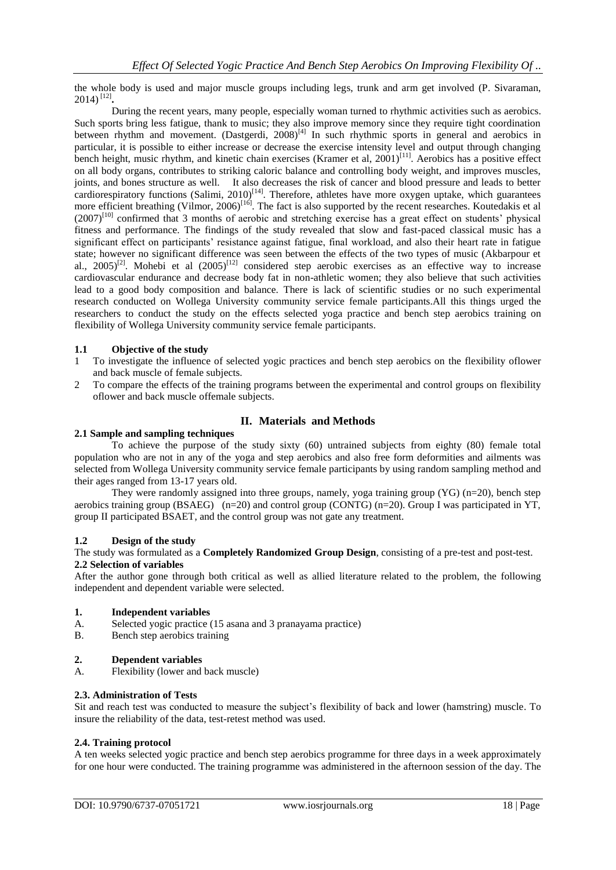the whole body is used and major muscle groups including legs, trunk and arm get involved (P. Sivaraman, 2014) [12] **.**

During the recent years, many people, especially woman turned to rhythmic activities such as aerobics. Such sports bring less fatigue, thank to music; they also improve memory since they require tight coordination between rhythm and movement. (Dastgerdi, 2008)<sup>[4]</sup> In such rhythmic sports in general and aerobics in particular, it is possible to either increase or decrease the exercise intensity level and output through changing bench height, music rhythm, and kinetic chain exercises (Kramer et al, 2001)<sup>[11]</sup>. Aerobics has a positive effect on all body organs, contributes to striking caloric balance and controlling body weight, and improves muscles, joints, and bones structure as well. It also decreases the risk of cancer and blood pressure and leads to better cardiorespiratory functions (Salimi, 2010)<sup>[14]</sup>. Therefore, athletes have more oxygen uptake, which guarantees more efficient breathing (Vilmor, 2006)<sup>[16]</sup>. The fact is also supported by the recent researches. Koutedakis et al (2007)<sup>[10]</sup> confirmed that 3 months of aerobic and stretching exercise has a great effect on students' physical fitness and performance. The findings of the study revealed that slow and fast-paced classical music has a significant effect on participants' resistance against fatigue, final workload, and also their heart rate in fatigue state; however no significant difference was seen between the effects of the two types of music (Akbarpour et al.,  $2005)^{[2]}$ . Mohebi et al  $(2005)^{[12]}$  considered step aerobic exercises as an effective way to increase cardiovascular endurance and decrease body fat in non-athletic women; they also believe that such activities lead to a good body composition and balance. There is lack of scientific studies or no such experimental research conducted on Wollega University community service female participants.All this things urged the researchers to conduct the study on the effects selected yoga practice and bench step aerobics training on flexibility of Wollega University community service female participants.

### **1.1 Objective of the study**

- 1 To investigate the influence of selected yogic practices and bench step aerobics on the flexibility oflower and back muscle of female subjects.
- 2 To compare the effects of the training programs between the experimental and control groups on flexibility oflower and back muscle offemale subjects.

### **II. Materials and Methods**

#### **2.1 Sample and sampling techniques**

To achieve the purpose of the study sixty (60) untrained subjects from eighty (80) female total population who are not in any of the yoga and step aerobics and also free form deformities and ailments was selected from Wollega University community service female participants by using random sampling method and their ages ranged from 13-17 years old.

They were randomly assigned into three groups, namely, yoga training group (YG) (n=20), bench step aerobics training group (BSAEG) (n=20) and control group (CONTG) (n=20). Group I was participated in YT, group II participated BSAET, and the control group was not gate any treatment.

#### **1.2 Design of the study**

The study was formulated as a **Completely Randomized Group Design**, consisting of a pre-test and post-test. **2.2 Selection of variables** 

After the author gone through both critical as well as allied literature related to the problem, the following independent and dependent variable were selected.

#### **1. Independent variables**

- A. Selected yogic practice (15 asana and 3 pranayama practice)
- B. Bench step aerobics training

#### **2. Dependent variables**

A. Flexibility (lower and back muscle)

#### **2.3. Administration of Tests**

Sit and reach test was conducted to measure the subject's flexibility of back and lower (hamstring) muscle. To insure the reliability of the data, test-retest method was used.

#### **2.4. Training protocol**

A ten weeks selected yogic practice and bench step aerobics programme for three days in a week approximately for one hour were conducted. The training programme was administered in the afternoon session of the day. The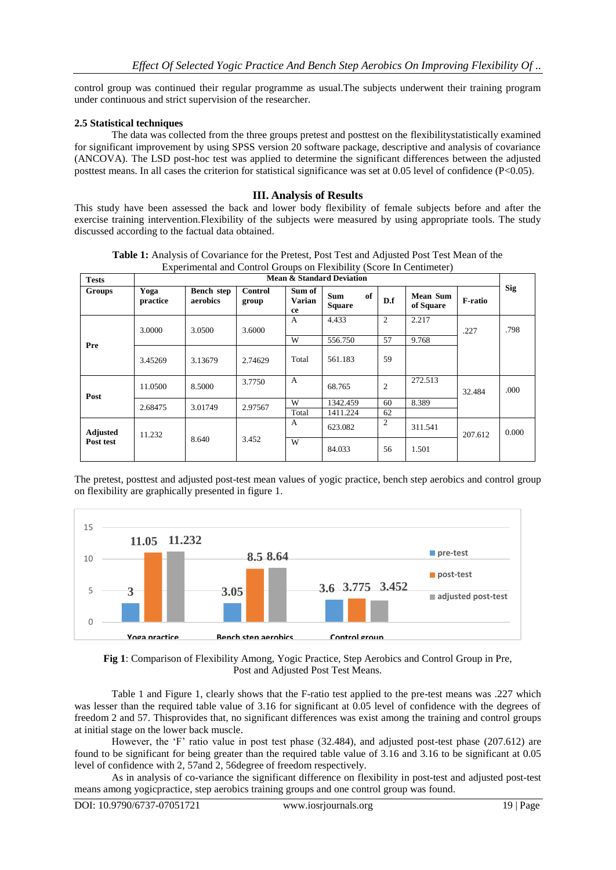control group was continued their regular programme as usual.The subjects underwent their training program under continuous and strict supervision of the researcher.

#### **2.5 Statistical techniques**

The data was collected from the three groups pretest and posttest on the flexibilitystatistically examined for significant improvement by using SPSS version 20 software package, descriptive and analysis of covariance (ANCOVA). The LSD post-hoc test was applied to determine the significant differences between the adjusted posttest means. In all cases the criterion for statistical significance was set at 0.05 level of confidence (P<0.05).

#### **III. Analysis of Results**

This study have been assessed the back and lower body flexibility of female subjects before and after the exercise training intervention.Flexibility of the subjects were measured by using appropriate tools. The study discussed according to the factual data obtained.

| <b>Tests</b>    | Mean & Standard Deviation |                               |                         |                               |                                   |                |                              |                |            |
|-----------------|---------------------------|-------------------------------|-------------------------|-------------------------------|-----------------------------------|----------------|------------------------------|----------------|------------|
| Groups          | Yoga<br>practice          | <b>Bench</b> step<br>aerobics | <b>Control</b><br>group | Sum of<br><b>Varian</b><br>ce | <b>Sum</b><br>of<br><b>Square</b> | D.f            | <b>Mean Sum</b><br>of Square | <b>F-ratio</b> | <b>Sig</b> |
|                 | 3.0000                    | 3.0500                        | 3.6000                  | $\mathsf{A}$                  | 4.433                             | 2              | 2.217                        | .227           | .798       |
| Pre             |                           |                               |                         | W                             | 556.750                           | 57             | 9.768                        |                |            |
|                 | 3.45269                   | 3.13679                       | 2.74629                 | Total                         | 561.183                           | 59             |                              |                |            |
| Post            | 11.0500                   | 8.5000                        | 3.7750                  | $\mathsf{A}$                  | 68.765                            | $\overline{2}$ | 272.513                      | 32.484         | .000       |
|                 | 2.68475                   | 3.01749                       | 2.97567                 | W                             | 1342.459                          | 60             | 8.389                        |                |            |
|                 |                           |                               |                         | Total                         | 1411.224                          | 62             |                              |                |            |
| <b>Adjusted</b> | 11.232                    | 8.640                         | 3.452                   | A                             | 623.082                           | $\overline{c}$ | 311.541                      | 207.612        | 0.000      |
| Post test       |                           |                               |                         | W                             | 84.033                            | 56             | 1.501                        |                |            |

**Table 1:** Analysis of Covariance for the Pretest, Post Test and Adjusted Post Test Mean of the Experimental and Control Groups on Flexibility (Score In Centimeter)

The pretest, posttest and adjusted post-test mean values of yogic practice, bench step aerobics and control group on flexibility are graphically presented in figure 1.





Table 1 and Figure 1, clearly shows that the F-ratio test applied to the pre-test means was .227 which was lesser than the required table value of 3.16 for significant at 0.05 level of confidence with the degrees of freedom 2 and 57. Thisprovides that, no significant differences was exist among the training and control groups at initial stage on the lower back muscle.

However, the 'F' ratio value in post test phase (32.484), and adjusted post-test phase (207.612) are found to be significant for being greater than the required table value of 3.16 and 3.16 to be significant at 0.05 level of confidence with 2, 57and 2, 56degree of freedom respectively.

As in analysis of co-variance the significant difference on flexibility in post-test and adjusted post-test means among yogicpractice, step aerobics training groups and one control group was found.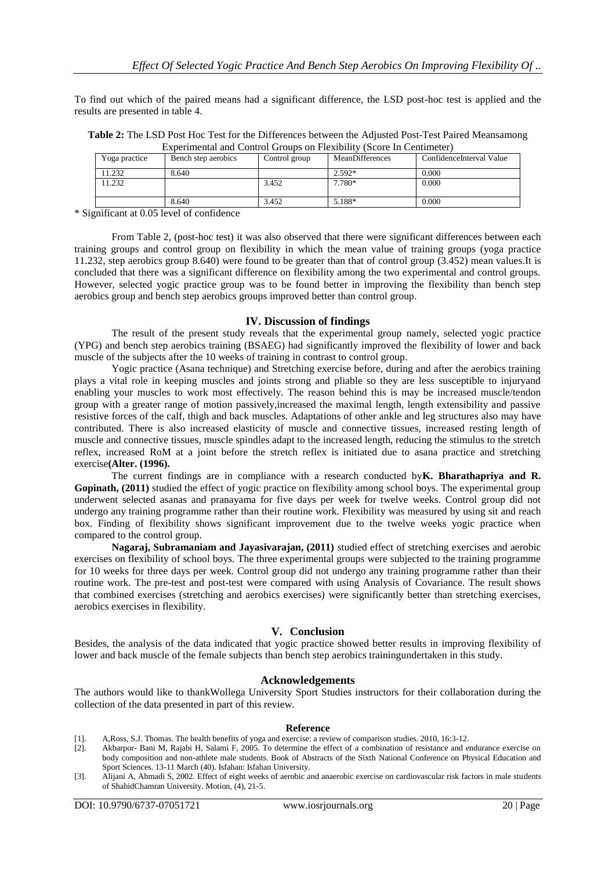To find out which of the paired means had a significant difference, the LSD post-hoc test is applied and the results are presented in table 4.

| Table 2: The LSD Post Hoc Test for the Differences between the Adjusted Post-Test Paired Meansamong |
|-----------------------------------------------------------------------------------------------------|
| Experimental and Control Groups on Flexibility (Score In Centimeter)                                |

| Yoga practice | Bench step aerobics | Control group | MeanDifferences | ConfidenceInterval Value |
|---------------|---------------------|---------------|-----------------|--------------------------|
| 11.232        | 8.640               |               | 2.592*          | 0.000                    |
| 1.232         |                     | 3.452         | 7.780*          | 0.000                    |
|               |                     |               |                 |                          |
|               | 8.640               | 3.452         | 5.188*          | 0.000                    |

\* Significant at 0.05 level of confidence

From Table 2, (post-hoc test) it was also observed that there were significant differences between each training groups and control group on flexibility in which the mean value of training groups (yoga practice 11.232, step aerobics group 8.640) were found to be greater than that of control group (3.452) mean values.It is concluded that there was a significant difference on flexibility among the two experimental and control groups. However, selected yogic practice group was to be found better in improving the flexibility than bench step aerobics group and bench step aerobics groups improved better than control group.

#### **IV. Discussion of findings**

The result of the present study reveals that the experimental group namely, selected yogic practice (YPG) and bench step aerobics training (BSAEG) had significantly improved the flexibility of lower and back muscle of the subjects after the 10 weeks of training in contrast to control group.

Yogic practice (Asana technique) and Stretching exercise before, during and after the aerobics training plays a vital role in keeping muscles and joints strong and pliable so they are less susceptible to injuryand enabling your muscles to work most effectively. The reason behind this is may be increased muscle/tendon group with a greater range of motion passively,increased the maximal length, length extensibility and passive resistive forces of the calf, thigh and back muscles. Adaptations of other ankle and leg structures also may have contributed. There is also increased elasticity of muscle and connective tissues, increased resting length of muscle and connective tissues, muscle spindles adapt to the increased length, reducing the stimulus to the stretch reflex, increased RoM at a joint before the stretch reflex is initiated due to asana practice and stretching exercise**(Alter. (1996).**

The current findings are in compliance with a research conducted by**K. Bharathapriya and R. Gopinath, (2011)** studied the effect of yogic practice on flexibility among school boys. The experimental group underwent selected asanas and pranayama for five days per week for twelve weeks. Control group did not undergo any training programme rather than their routine work. Flexibility was measured by using sit and reach box. Finding of flexibility shows significant improvement due to the twelve weeks yogic practice when compared to the control group.

**Nagaraj, Subramaniam and Jayasivarajan, (2011)** studied effect of stretching exercises and aerobic exercises on flexibility of school boys. The three experimental groups were subjected to the training programme for 10 weeks for three days per week. Control group did not undergo any training programme rather than their routine work. The pre-test and post-test were compared with using Analysis of Covariance. The result shows that combined exercises (stretching and aerobics exercises) were significantly better than stretching exercises, aerobics exercises in flexibility.

#### **V. Conclusion**

Besides, the analysis of the data indicated that yogic practice showed better results in improving flexibility of lower and back muscle of the female subjects than bench step aerobics trainingundertaken in this study.

#### **Acknowledgements**

The authors would like to thankWollega University Sport Studies instructors for their collaboration during the collection of the data presented in part of this review.

#### **Reference**

- [1]. A,Ross, S.J. Thomas. The health benefits of yoga and exercise: a review of comparison studies. 2010, 16:3-12.
- Akbarpor- Bani M, Rajabi H, Salami F, 2005. To determine the effect of a combination of resistance and endurance exercise on body composition and non-athlete male students. Book of Abstracts of the Sixth National Conference on Physical Education and Sport Sciences. 13-11 March (40). Isfahan: Isfahan University.
- [3]. Alijani A, Ahmadi S, 2002. Effect of eight weeks of aerobic and anaerobic exercise on cardiovascular risk factors in male students of ShahidChamran University. Motion, (4), 21-5.